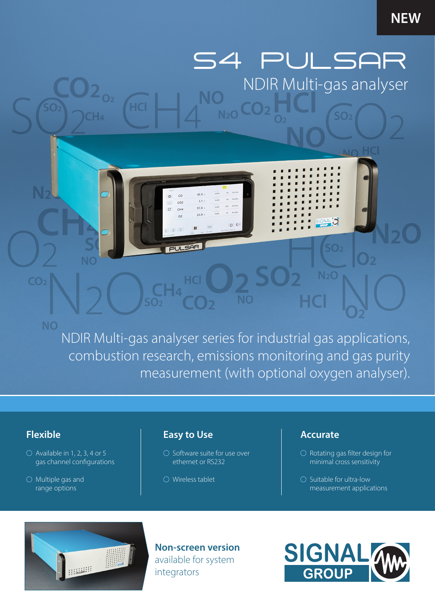# **NEW**

S4 PULSAR NDIR Multi-gas analyser

 $SO<sub>2</sub>$ 

NDIR Multi-gas analyser series for industrial gas applications, combustion research, emissions monitoring and gas purity measurement (with optional oxygen analyser).

**NC** 

 $N<sub>2</sub>O$ 

 $40.6$ 

 $3.1 \cdot$ 

 $97.6$ 

 $249$ 

 $\overline{c}$ 

 $CO<sub>2</sub>$ 

 $\alpha$ 

**PULSAR** 

 $\overline{C}$  $CH<sub>4</sub>$ 

# **Flexible**

 $CO<sub>2</sub>$ 

**NO** 

- $\bigcirc$  Available in 1, 2, 3, 4 or 5 gas channel configurations
- $\bigcirc$  Multiple gas and range options

# **Easy to Use**

**HCI** 

- $\bigcirc$  Software suite for use over ethernet or RS232
- Wireless tablet

# **Accurate**

- $\bigcirc$  Rotating gas filter design for minimal cross sensitivity
- $\bigcirc$  Suitable for ultra-low measurement applications



**Non-screen version**  available for system integrators

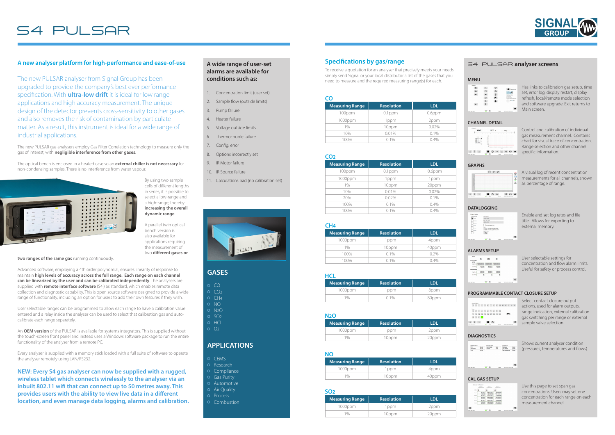The new PULSAR analyser from Signal Group has been upgraded to provide the company's best ever performance specification. With **ultra-low drift** it is ideal for low range applications and high accuracy measurement. The unique design of the detector prevents cross-sensitivity to other gases and also removes the risk of contamination by particulate matter. As a result, this instrument is ideal for a wide range of industrial applications.

The new PULSAR gas analysers employ Gas Filter Correlation technology to measure only the gas of interest, with **negligible interference from other gases**.

The optical bench is enclosed in a heated case so an **external chiller is not necessary** for non-condensing samples. There is no interference from water vapour.



By using two sample cells of different lengths in series, it is possible to select a low-range and a high-range; thereby **increasing the overall dynamic range**.

A parallel twin optical bench version is also available for applications requiring the measurement of two **different gases or** 

#### **two ranges of the same gas** running continuously.

Advanced software, employing a 4th order polynomial, ensures linearity of response to maintain **high levels of accuracy across the full range. Each range on each channel can be linearized by the user and can be calibrated independently**. The analysers are supplied with **remote interface software** (S4i) as standard, which enables remote data collection and diagnostic capability. This is open source software designed to provide a wide range of functionality, including an option for users to add their own features if they wish.

- Concentration limit (user set)
- 2. Sample flow (outside limits)
- 3. Pump failure
- 4. Heater failure
- 5. Voltage outside limits 6. Thermocouple failure
- 7. Config. error
- 8. Options incorrectly set
- 9. IR Motor failure
- 10. IR Source failure
- 11. Calculations bad (no calibration set)



User selectable ranges can be programmed to allow each range to have a calibration value entered and a relay inside the analyser can be used to select that calibration gas and autocalibrate each range separately.

An **OEM version** of the PULSAR is available for systems integrators. This is supplied without the touch-screen front panel and instead uses a Windows software package to run the entire functionality of the analyser from a remote PC.

Every analyser is supplied with a memory stick loaded with a full suite of software to operate the analyser remotely using LAN/RS232.

Select contact closure output actions, used for alarm outputs, range indication, external calibration gas switching per range or external \* sample valve selection.

**NEW: Every S4 gas analyser can now be supplied with a rugged, wireless tablet which connects wirelessly to the analyser via an inbuilt 802.11 wifi that can connect up to 50 metres away. This provides users with the ability to view live data in a different location, and even manage data logging, alarms and calibration.**

### **A wide range of user-set alarms are available for conditions such as:**

| <b>Measuring Range</b> | <b>Resolution</b> | LDL   |
|------------------------|-------------------|-------|
| $1000$ ppm             | 1ppm              | 2ppm  |
| 10/                    | 10ppm             | 20ppm |

| CO                     |                   |            |
|------------------------|-------------------|------------|
| <b>Measuring Range</b> | <b>Resolution</b> | <b>LDL</b> |
| 100ppm                 | $0.1$ ppm         | $0.6$ ppm  |
| 1000ppm                | l ppm             | 2ppm       |
| 1%                     | 10ppm             | $0.02\%$   |
| 10%                    | 0.01%             | $0.1\%$    |
| 100%                   | $0.1\%$           | $0.4\%$    |

| <b>Measuring Range</b> | <b>Resolution</b> | <b>LDL</b> |
|------------------------|-------------------|------------|
| 100ppm                 | $0.1$ ppm         | $0.6$ ppm  |
| 1000ppm                | 1ppm              | 1ppm       |
| 1%                     | 10ppm             | 20ppm      |
| 10%                    | 0.01%             | 0.02%      |
| 20%                    | $0.02\%$          | 0.1%       |
| 100%                   | 0.1%              | 0.4%       |
| 100%                   | $0.1\%$           | $0.4\%$    |

### **CO2**

| <b>Measuring Range</b> | <b>Resolution</b> | LDL   |
|------------------------|-------------------|-------|
| 1000ppm                | 1 ppm             | 2ppm  |
| 1%                     | 10ppm             | 20ppm |

### **N2O**

| <b>Measuring Range</b> | <b>Resolution</b> | LDL   |
|------------------------|-------------------|-------|
| 1000ppm                | l ppm             | 4ppm  |
|                        | 10ppm             | 40ppm |

### **NO**

### **SO2**

| -----                  |            |       |  |
|------------------------|------------|-------|--|
| <b>Measuring Range</b> | Resolution | LDL   |  |
| 1000ppm                | 1ppm       | 8ppm  |  |
| 1%                     | $0.1\%$    | 80ppm |  |

### **HCL**

| CH <sub>4</sub>        |                   |            |  |  |
|------------------------|-------------------|------------|--|--|
| <b>Measuring Range</b> | <b>Resolution</b> | <b>LDL</b> |  |  |
| 1000ppm                | 1 ppm             | 4ppm       |  |  |
| $1\%$                  | 10ppm             | 40ppm      |  |  |
| 100%                   | $0.1\%$           | 0.2%       |  |  |
| . 00%                  | 0.1%              | 0.4%       |  |  |

To receive a quotation for an analyser that precisely meets your needs, simply send Signal or your local distributor a list of the gases that you need to measure and the required measuring range(s) for each.

# S4 PULSAR

# A new analyser platform for high-performance and ease-of-use **A** wide range of user-set **Specifications by gas/range**

## **GASES**

| $\circ$ $\circ$      |  |
|----------------------|--|
| $\sim$ $\sim$ $\sim$ |  |

- CO  $OCH4$
- o NO
- o N<sub>2</sub>O
- $O$  SO<sub>2</sub>
- o HCl  $O_2$
- 

# **APPLICATIONS**

- $O$  CEMS
- o Research
- Compliance
- Gas Purity Automotive
- Air Quality
- O Process
- $\circ$  Combustion

#### S4 PULSAR **analyser screens**

#### **MENU**

| Options       |                   |                   |                                                                                        |
|---------------|-------------------|-------------------|----------------------------------------------------------------------------------------|
| ≡ι            |                   |                   | Mi Debug is on                                                                         |
| Ξ,            |                   | $\circ$           | SIGNAL VA                                                                              |
|               | TPF               | ø                 | <b>CONTRACTOR</b><br>betwie baseball at a                                              |
|               |                   | ₽                 | MARINE<br>NUMBER<br><b>BE SPECIFIED STATES</b><br>by close in expenditures to be their |
|               | $\mathfrak{a}$    |                   | <b>CARL LINES</b>                                                                      |
| $\equiv$      |                   |                   |                                                                                        |
|               |                   |                   |                                                                                        |
| ------------- | <b>Seven Bill</b> | <b>Contractor</b> | ----                                                                                   |

Has links to calibration gas setup, time set, error log, display restart, display refresh, local/remote mode selection and software upgrade. Exit returns to Main screen.

#### **CHANNEL DETAIL**



Control and calibration of individual gas measurement channel. Contains chart for visual trace of concentration. Range selection and other channel specific information.

#### **GRAPHS**



A visual log of recent concentration measurements for all channels, shown as percentage of range.

#### **ALARMS SETUP**

| <b>Alarms</b>          |                                 |                   |         |
|------------------------|---------------------------------|-------------------|---------|
|                        | co                              | CO <sub>2</sub>   | 02      |
| Concentration<br>(PPM) |                                 |                   |         |
|                        | Hah Imk 1000000 1000000 1000000 |                   |         |
| Low limit              | $-1000$                         | $-1000$           | $-1000$ |
| Flow (rel/min)         |                                 |                   |         |
| <b>High limit</b>      | 3000                            | 3000              | 3000    |
| Lew limit              | 0                               | 0                 | 0       |
|                        |                                 |                   |         |
|                        |                                 |                   |         |
| CAC SON WATER          |                                 | <b>Denne Bill</b> | COMA    |

User selectable settings for concentration and flow alarm limits. Useful for safety or process control.

#### **PROGRAMMABLE CONTACT CLOSURE SETUP**



#### **DIAGNOSTICS**

Shows current analyser condition



**CAL GAS SETUP** 

|                          | <b>Internet</b> |                                | 1 (ppm)         |                     |
|--------------------------|-----------------|--------------------------------|-----------------|---------------------|
| Color<br><b>Syndical</b> | o<br>$\sim$     | O<br>$\cdots$                  | $\Omega$<br>122 |                     |
| <b>Banau 1</b>           | 1000            | 150000                         | 250000          |                     |
| Renar 2                  | 1000            | 150000                         | 250000          |                     |
| <b>Range 3</b>           | 1000            | 150000                         | 250000          |                     |
| Renard                   | 1000            | 150000                         | 250000          |                     |
| Range 1                  | 1000            | 150000                         | 250000          |                     |
|                          |                 |                                |                 |                     |
| C                        |                 |                                |                 |                     |
| GDC-20R 20071            |                 | <b>Seven Bill</b><br>been<br>m | COM             | 11/02/2021 13:23:08 |

Use this page to set span gas concentrations. Users may set one concentration for each range on each measurement channel.

#### **DATALOGGING**



#### Enable and set log rates and file title. Allows for exporting to external memory.